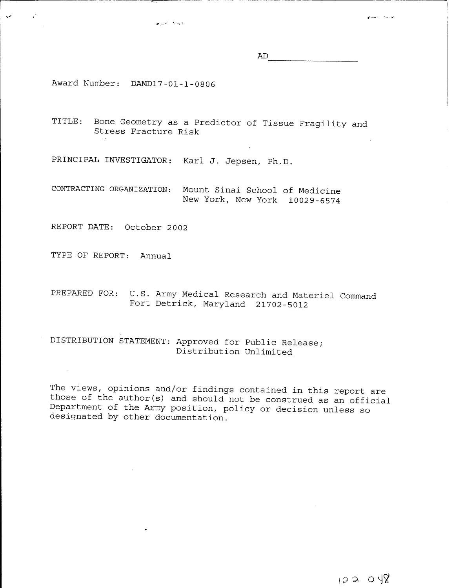AD

سأسه المسم

Award Number: DAMD17-01-1-08 06

 $\mathbf{A}^{\bullet}$ 

TITLE: Bone Geometry as a Predictor of Tissue Fragility and Stress Fracture Risk

PRINCIPAL INVESTIGATOR: Karl J. Jepsen, Ph.D.

ويديع أصيرها

CONTRACTING ORGANIZATION: Mount Sinai School of Medicine New York, New York 10029-6574

REPORT DATE: October 2002

TYPE OF REPORT: Annual

PREPARED FOR: U.S. Army Medical Research and Materiel Command Fort Detrick, Maryland 21702-5012

DISTRIBUTION STATEMENT: Approved for Public Release; Distribution Unlimited

The views, opinions and/or findings contained in this report are those of the author(s) and should not be construed as an official Department of the Army position, policy or decision unless so designated by other documentation.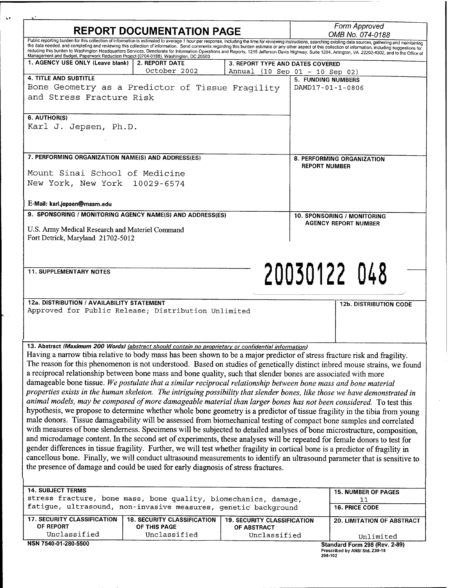| <b>REPORT DOCUMENTATION PAGE</b>                                                                                                                                                                                                                                                                                                                                                                                                                                                                                                                                                                                                                                                                                                                                                                                                                                                                                                                                                                                                                                                                                                                                                                                                                                                                                                                                                                                                        |                                                    |                                                   | Form Approved<br>OMB No. 074-0188             |                               |
|-----------------------------------------------------------------------------------------------------------------------------------------------------------------------------------------------------------------------------------------------------------------------------------------------------------------------------------------------------------------------------------------------------------------------------------------------------------------------------------------------------------------------------------------------------------------------------------------------------------------------------------------------------------------------------------------------------------------------------------------------------------------------------------------------------------------------------------------------------------------------------------------------------------------------------------------------------------------------------------------------------------------------------------------------------------------------------------------------------------------------------------------------------------------------------------------------------------------------------------------------------------------------------------------------------------------------------------------------------------------------------------------------------------------------------------------|----------------------------------------------------|---------------------------------------------------|-----------------------------------------------|-------------------------------|
| Public reporting burden for this collection of information is estimated to average 1 hour per response, including the time for reviewing instructions, searching existing data sources, gathering and maintaining<br>the data needed, and completing and reviewing this collection of information. Send comments regarding this burden estimate or any other aspect of this collection of information, including suggestions for                                                                                                                                                                                                                                                                                                                                                                                                                                                                                                                                                                                                                                                                                                                                                                                                                                                                                                                                                                                                        |                                                    |                                                   |                                               |                               |
| reducing this burden to Washington Headquarters Services, Directorate for Information Operations and Reports, 1215 Jefferson Davis Highway, Suite 1204, Arlington, VA 22202-4302, and to the Office of<br>Management and Budget, Paperwork Reduction Project (0704-0188), Washington, DC 20503                                                                                                                                                                                                                                                                                                                                                                                                                                                                                                                                                                                                                                                                                                                                                                                                                                                                                                                                                                                                                                                                                                                                          |                                                    |                                                   |                                               |                               |
| 1. AGENCY USE ONLY (Leave blank)                                                                                                                                                                                                                                                                                                                                                                                                                                                                                                                                                                                                                                                                                                                                                                                                                                                                                                                                                                                                                                                                                                                                                                                                                                                                                                                                                                                                        | 2. REPORT DATE                                     |                                                   | 3. REPORT TYPE AND DATES COVERED              |                               |
| <b>4. TITLE AND SUBTITLE</b>                                                                                                                                                                                                                                                                                                                                                                                                                                                                                                                                                                                                                                                                                                                                                                                                                                                                                                                                                                                                                                                                                                                                                                                                                                                                                                                                                                                                            | October 2002                                       | Annual (10 Sep 01 - 10 Sep 02)                    |                                               |                               |
| Bone Geometry as a Predictor of Tissue Fragility                                                                                                                                                                                                                                                                                                                                                                                                                                                                                                                                                                                                                                                                                                                                                                                                                                                                                                                                                                                                                                                                                                                                                                                                                                                                                                                                                                                        |                                                    |                                                   | <b>5. FUNDING NUMBERS</b><br>DAMD17-01-1-0806 |                               |
| and Stress Fracture Risk                                                                                                                                                                                                                                                                                                                                                                                                                                                                                                                                                                                                                                                                                                                                                                                                                                                                                                                                                                                                                                                                                                                                                                                                                                                                                                                                                                                                                |                                                    |                                                   |                                               |                               |
|                                                                                                                                                                                                                                                                                                                                                                                                                                                                                                                                                                                                                                                                                                                                                                                                                                                                                                                                                                                                                                                                                                                                                                                                                                                                                                                                                                                                                                         |                                                    |                                                   |                                               |                               |
| 6. AUTHOR(S)                                                                                                                                                                                                                                                                                                                                                                                                                                                                                                                                                                                                                                                                                                                                                                                                                                                                                                                                                                                                                                                                                                                                                                                                                                                                                                                                                                                                                            |                                                    |                                                   |                                               |                               |
| Karl J. Jepsen, Ph.D.                                                                                                                                                                                                                                                                                                                                                                                                                                                                                                                                                                                                                                                                                                                                                                                                                                                                                                                                                                                                                                                                                                                                                                                                                                                                                                                                                                                                                   |                                                    |                                                   |                                               |                               |
|                                                                                                                                                                                                                                                                                                                                                                                                                                                                                                                                                                                                                                                                                                                                                                                                                                                                                                                                                                                                                                                                                                                                                                                                                                                                                                                                                                                                                                         |                                                    |                                                   |                                               |                               |
|                                                                                                                                                                                                                                                                                                                                                                                                                                                                                                                                                                                                                                                                                                                                                                                                                                                                                                                                                                                                                                                                                                                                                                                                                                                                                                                                                                                                                                         |                                                    |                                                   |                                               |                               |
| 7. PERFORMING ORGANIZATION NAME(S) AND ADDRESS(ES)                                                                                                                                                                                                                                                                                                                                                                                                                                                                                                                                                                                                                                                                                                                                                                                                                                                                                                                                                                                                                                                                                                                                                                                                                                                                                                                                                                                      |                                                    |                                                   |                                               | 8. PERFORMING ORGANIZATION    |
|                                                                                                                                                                                                                                                                                                                                                                                                                                                                                                                                                                                                                                                                                                                                                                                                                                                                                                                                                                                                                                                                                                                                                                                                                                                                                                                                                                                                                                         |                                                    |                                                   | <b>REPORT NUMBER</b>                          |                               |
| Mount Sinai School of Medicine                                                                                                                                                                                                                                                                                                                                                                                                                                                                                                                                                                                                                                                                                                                                                                                                                                                                                                                                                                                                                                                                                                                                                                                                                                                                                                                                                                                                          |                                                    |                                                   |                                               |                               |
| New York, New York 10029-6574                                                                                                                                                                                                                                                                                                                                                                                                                                                                                                                                                                                                                                                                                                                                                                                                                                                                                                                                                                                                                                                                                                                                                                                                                                                                                                                                                                                                           |                                                    |                                                   |                                               |                               |
|                                                                                                                                                                                                                                                                                                                                                                                                                                                                                                                                                                                                                                                                                                                                                                                                                                                                                                                                                                                                                                                                                                                                                                                                                                                                                                                                                                                                                                         |                                                    |                                                   |                                               |                               |
| E-Mail: karl.jepsen@mssm.edu                                                                                                                                                                                                                                                                                                                                                                                                                                                                                                                                                                                                                                                                                                                                                                                                                                                                                                                                                                                                                                                                                                                                                                                                                                                                                                                                                                                                            |                                                    |                                                   |                                               |                               |
| 9. SPONSORING / MONITORING AGENCY NAME(S) AND ADDRESS(ES)                                                                                                                                                                                                                                                                                                                                                                                                                                                                                                                                                                                                                                                                                                                                                                                                                                                                                                                                                                                                                                                                                                                                                                                                                                                                                                                                                                               |                                                    |                                                   | <b>10. SPONSORING / MONITORING</b>            |                               |
|                                                                                                                                                                                                                                                                                                                                                                                                                                                                                                                                                                                                                                                                                                                                                                                                                                                                                                                                                                                                                                                                                                                                                                                                                                                                                                                                                                                                                                         |                                                    |                                                   |                                               | <b>AGENCY REPORT NUMBER</b>   |
| U.S. Army Medical Research and Materiel Command                                                                                                                                                                                                                                                                                                                                                                                                                                                                                                                                                                                                                                                                                                                                                                                                                                                                                                                                                                                                                                                                                                                                                                                                                                                                                                                                                                                         |                                                    |                                                   |                                               |                               |
| Fort Detrick, Maryland 21702-5012                                                                                                                                                                                                                                                                                                                                                                                                                                                                                                                                                                                                                                                                                                                                                                                                                                                                                                                                                                                                                                                                                                                                                                                                                                                                                                                                                                                                       |                                                    |                                                   |                                               |                               |
|                                                                                                                                                                                                                                                                                                                                                                                                                                                                                                                                                                                                                                                                                                                                                                                                                                                                                                                                                                                                                                                                                                                                                                                                                                                                                                                                                                                                                                         |                                                    |                                                   |                                               |                               |
|                                                                                                                                                                                                                                                                                                                                                                                                                                                                                                                                                                                                                                                                                                                                                                                                                                                                                                                                                                                                                                                                                                                                                                                                                                                                                                                                                                                                                                         |                                                    |                                                   |                                               |                               |
|                                                                                                                                                                                                                                                                                                                                                                                                                                                                                                                                                                                                                                                                                                                                                                                                                                                                                                                                                                                                                                                                                                                                                                                                                                                                                                                                                                                                                                         |                                                    |                                                   |                                               |                               |
| <b>11. SUPPLEMENTARY NOTES</b>                                                                                                                                                                                                                                                                                                                                                                                                                                                                                                                                                                                                                                                                                                                                                                                                                                                                                                                                                                                                                                                                                                                                                                                                                                                                                                                                                                                                          |                                                    |                                                   |                                               |                               |
|                                                                                                                                                                                                                                                                                                                                                                                                                                                                                                                                                                                                                                                                                                                                                                                                                                                                                                                                                                                                                                                                                                                                                                                                                                                                                                                                                                                                                                         |                                                    |                                                   |                                               | 20030122 048                  |
|                                                                                                                                                                                                                                                                                                                                                                                                                                                                                                                                                                                                                                                                                                                                                                                                                                                                                                                                                                                                                                                                                                                                                                                                                                                                                                                                                                                                                                         |                                                    |                                                   |                                               |                               |
| 12a. DISTRIBUTION / AVAILABILITY STATEMENT                                                                                                                                                                                                                                                                                                                                                                                                                                                                                                                                                                                                                                                                                                                                                                                                                                                                                                                                                                                                                                                                                                                                                                                                                                                                                                                                                                                              |                                                    |                                                   |                                               |                               |
| Approved for Public Release; Distribution Unlimited                                                                                                                                                                                                                                                                                                                                                                                                                                                                                                                                                                                                                                                                                                                                                                                                                                                                                                                                                                                                                                                                                                                                                                                                                                                                                                                                                                                     |                                                    |                                                   |                                               | <b>12b. DISTRIBUTION CODE</b> |
|                                                                                                                                                                                                                                                                                                                                                                                                                                                                                                                                                                                                                                                                                                                                                                                                                                                                                                                                                                                                                                                                                                                                                                                                                                                                                                                                                                                                                                         |                                                    |                                                   |                                               |                               |
|                                                                                                                                                                                                                                                                                                                                                                                                                                                                                                                                                                                                                                                                                                                                                                                                                                                                                                                                                                                                                                                                                                                                                                                                                                                                                                                                                                                                                                         |                                                    |                                                   |                                               |                               |
|                                                                                                                                                                                                                                                                                                                                                                                                                                                                                                                                                                                                                                                                                                                                                                                                                                                                                                                                                                                                                                                                                                                                                                                                                                                                                                                                                                                                                                         |                                                    |                                                   |                                               |                               |
|                                                                                                                                                                                                                                                                                                                                                                                                                                                                                                                                                                                                                                                                                                                                                                                                                                                                                                                                                                                                                                                                                                                                                                                                                                                                                                                                                                                                                                         |                                                    |                                                   |                                               |                               |
|                                                                                                                                                                                                                                                                                                                                                                                                                                                                                                                                                                                                                                                                                                                                                                                                                                                                                                                                                                                                                                                                                                                                                                                                                                                                                                                                                                                                                                         |                                                    |                                                   |                                               |                               |
| The reason for this phenomenon is not understood. Based on studies of genetically distinct inbred mouse strains, we found                                                                                                                                                                                                                                                                                                                                                                                                                                                                                                                                                                                                                                                                                                                                                                                                                                                                                                                                                                                                                                                                                                                                                                                                                                                                                                               |                                                    |                                                   |                                               |                               |
|                                                                                                                                                                                                                                                                                                                                                                                                                                                                                                                                                                                                                                                                                                                                                                                                                                                                                                                                                                                                                                                                                                                                                                                                                                                                                                                                                                                                                                         |                                                    |                                                   |                                               |                               |
|                                                                                                                                                                                                                                                                                                                                                                                                                                                                                                                                                                                                                                                                                                                                                                                                                                                                                                                                                                                                                                                                                                                                                                                                                                                                                                                                                                                                                                         |                                                    |                                                   |                                               |                               |
|                                                                                                                                                                                                                                                                                                                                                                                                                                                                                                                                                                                                                                                                                                                                                                                                                                                                                                                                                                                                                                                                                                                                                                                                                                                                                                                                                                                                                                         |                                                    |                                                   |                                               |                               |
|                                                                                                                                                                                                                                                                                                                                                                                                                                                                                                                                                                                                                                                                                                                                                                                                                                                                                                                                                                                                                                                                                                                                                                                                                                                                                                                                                                                                                                         |                                                    |                                                   |                                               |                               |
|                                                                                                                                                                                                                                                                                                                                                                                                                                                                                                                                                                                                                                                                                                                                                                                                                                                                                                                                                                                                                                                                                                                                                                                                                                                                                                                                                                                                                                         |                                                    |                                                   |                                               |                               |
|                                                                                                                                                                                                                                                                                                                                                                                                                                                                                                                                                                                                                                                                                                                                                                                                                                                                                                                                                                                                                                                                                                                                                                                                                                                                                                                                                                                                                                         |                                                    |                                                   |                                               |                               |
|                                                                                                                                                                                                                                                                                                                                                                                                                                                                                                                                                                                                                                                                                                                                                                                                                                                                                                                                                                                                                                                                                                                                                                                                                                                                                                                                                                                                                                         |                                                    |                                                   |                                               |                               |
|                                                                                                                                                                                                                                                                                                                                                                                                                                                                                                                                                                                                                                                                                                                                                                                                                                                                                                                                                                                                                                                                                                                                                                                                                                                                                                                                                                                                                                         |                                                    |                                                   |                                               |                               |
|                                                                                                                                                                                                                                                                                                                                                                                                                                                                                                                                                                                                                                                                                                                                                                                                                                                                                                                                                                                                                                                                                                                                                                                                                                                                                                                                                                                                                                         |                                                    |                                                   |                                               |                               |
| animal models, may be composed of more damageable material than larger bones has not been considered. To test this<br>the presence of damage and could be used for early diagnosis of stress fractures.                                                                                                                                                                                                                                                                                                                                                                                                                                                                                                                                                                                                                                                                                                                                                                                                                                                                                                                                                                                                                                                                                                                                                                                                                                 |                                                    |                                                   |                                               |                               |
|                                                                                                                                                                                                                                                                                                                                                                                                                                                                                                                                                                                                                                                                                                                                                                                                                                                                                                                                                                                                                                                                                                                                                                                                                                                                                                                                                                                                                                         |                                                    |                                                   |                                               |                               |
|                                                                                                                                                                                                                                                                                                                                                                                                                                                                                                                                                                                                                                                                                                                                                                                                                                                                                                                                                                                                                                                                                                                                                                                                                                                                                                                                                                                                                                         |                                                    |                                                   |                                               |                               |
| <b>14. SUBJECT TERMS</b>                                                                                                                                                                                                                                                                                                                                                                                                                                                                                                                                                                                                                                                                                                                                                                                                                                                                                                                                                                                                                                                                                                                                                                                                                                                                                                                                                                                                                |                                                    |                                                   |                                               | <b>15. NUMBER OF PAGES</b>    |
| stress fracture, bone mass, bone quality, biomechanics, damage,                                                                                                                                                                                                                                                                                                                                                                                                                                                                                                                                                                                                                                                                                                                                                                                                                                                                                                                                                                                                                                                                                                                                                                                                                                                                                                                                                                         |                                                    |                                                   |                                               | 11<br>16. PRICE CODE          |
| fatigue, ultrasound, non-invasive measures, genetic background                                                                                                                                                                                                                                                                                                                                                                                                                                                                                                                                                                                                                                                                                                                                                                                                                                                                                                                                                                                                                                                                                                                                                                                                                                                                                                                                                                          |                                                    |                                                   |                                               |                               |
| 13. Abstract (Maximum 200 Words) (abstract should contain no proprietary or confidential information)<br>Having a narrow tibia relative to body mass has been shown to be a major predictor of stress fracture risk and fragility.<br>a reciprocal relationship between bone mass and bone quality, such that slender bones are associated with more<br>damageable bone tissue. We postulate that a similar reciprocal relationship between bone mass and bone material<br>properties exists in the human skeleton. The intriguing possibility that slender bones, like those we have demonstrated in<br>hypothesis, we propose to determine whether whole bone geometry is a predictor of tissue fragility in the tibia from young<br>male donors. Tissue damageability will be assessed from biomechanical testing of compact bone samples and correlated<br>with measures of bone slenderness. Specimens will be subjected to detailed analyses of bone microstructure, composition,<br>and microdamage content. In the second set of experiments, these analyses will be repeated for female donors to test for<br>gender differences in tissue fragility. Further, we will test whether fragility in cortical bone is a predictor of fragility in<br>cancellous bone. Finally, we will conduct ultrasound measurements to identify an ultrasound parameter that is sensitive to<br><b>17. SECURITY CLASSIFICATION</b><br>OF REPORT | <b>18. SECURITY CLASSIFICATION</b><br>OF THIS PAGE | <b>19. SECURITY CLASSIFICATION</b><br>OF ABSTRACT |                                               | 20. LIMITATION OF ABSTRACT    |
| Unclassified                                                                                                                                                                                                                                                                                                                                                                                                                                                                                                                                                                                                                                                                                                                                                                                                                                                                                                                                                                                                                                                                                                                                                                                                                                                                                                                                                                                                                            | Unclassified                                       | Unclassified                                      |                                               | Unlimited                     |

 $\hat{\boldsymbol{\gamma}}$ 

 $\mathbf{v}$ 

Ķ.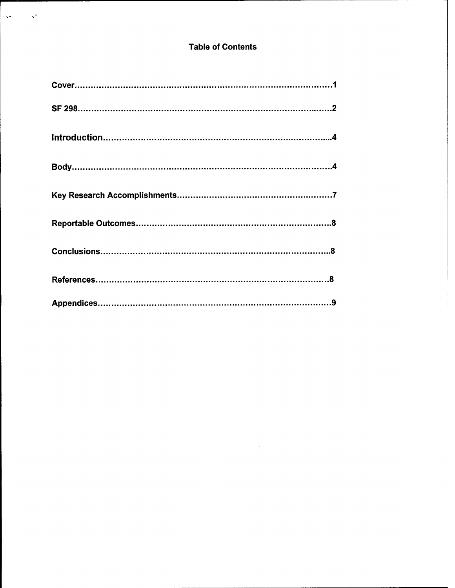# **Table of Contents**

 $\mathcal{Q}^{\mathcal{A}}$ 

 $\mathbf{v}^{\star}$ 

 $\hat{\mathcal{L}}$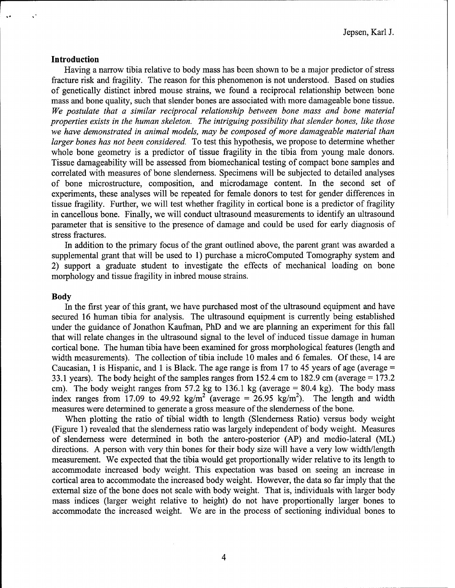## **Introduction**

Having a narrow tibia relative to body mass has been shown to be a major predictor of stress fracture risk and fragility. The reason for this phenomenon is not understood. Based on studies of genetically distinct inbred mouse strains, we found a reciprocal relationship between bone mass and bone quality, such that slender bones are associated with more damageable bone tissue. *We postulate that a similar reciprocal relationship between bone mass and bone material properties exists in the human skeleton. The intriguing possibility that slender bones, like those we have demonstrated in animal models, may be composed of more damageable material than larger bones has not been considered.* To test this hypothesis, we propose to determine whether whole bone geometry is a predictor of tissue fragility in the tibia from young male donors. Tissue damageability will be assessed from biomechanical testing of compact bone samples and correlated with measures of bone slenderness. Specimens will be subjected to detailed analyses of bone microstructure, composition, and microdamage content. In the second set of experiments, these analyses will be repeated for female donors to test for gender differences in tissue fragility. Further, we will test whether fragility in cortical bone is a predictor of fragility in cancellous bone. Finally, we will conduct ultrasound measurements to identify an ultrasound parameter that is sensitive to the presence of damage and could be used for early diagnosis of stress fractures.

In addition to the primary focus of the grant outlined above, the parent grant was awarded a supplemental grant that will be used to 1) purchase a microComputed Tomography system and 2) support a graduate student to investigate the effects of mechanical loading on bone morphology and tissue fragility in inbred mouse strains.

#### **Body**

In the first year of this grant, we have purchased most of the ultrasound equipment and have secured 16 human tibia for analysis. The ultrasound equipment is currently being established under the guidance of Jonathon Kaufman, PhD and we are planning an experiment for this fall that will relate changes in the ultrasound signal to the level of induced tissue damage in human cortical bone. The human tibia have been examined for gross morphological features (length and width measurements). The collection of tibia include 10 males and 6 females. Of these, 14 are Caucasian, <sup>1</sup> is Hispanic, and <sup>1</sup> is Black. The age range is from 17 to 45 years of age (average = 33.1 years). The body height of the samples ranges from 152.4 cm to 182.9 cm (average  $= 173.2$ ) cm). The body weight ranges from 57.2 kg to 136.1 kg (average  $= 80.4$  kg). The body mass index ranges from 17.09 to 49.92 kg/m<sup>2</sup> (average = 26.95 kg/m<sup>2</sup>). The length and width measures were determined to generate a gross measure of the slenderness of the bone.

When plotting the ratio of tibial width to length (Slenderness Ratio) versus body weight (Figure 1) revealed that the slenderness ratio was largely independent of body weight. Measures of slenderness were determined in both the antero-posterior (AP) and medio-lateral (ML) directions. A person with very thin bones for their body size will have a very low width/length measurement. We expected that the tibia would get proportionally wider relative to its length to accommodate increased body weight. This expectation was based on seeing an increase in cortical area to accommodate the increased body weight. However, the data so far imply that the external size of the bone does not scale with body weight. That is, individuals with larger body mass indices (larger weight relative to height) do not have proportionally larger bones to accommodate the increased weight. We are in the process of sectioning individual bones to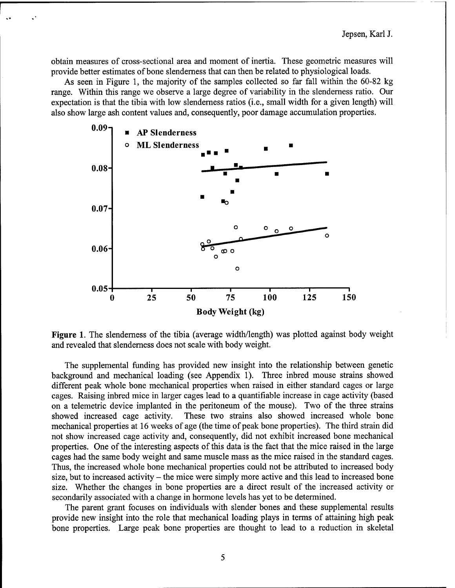obtain measures of cross-sectional area and moment of inertia. These geometric measures will provide better estimates of bone slenderness that can then be related to physiological loads.

As seen in Figure 1, the majority of the samples collected so far fall within the 60-82 kg range. Within this range we observe a large degree of variability in the slenderness ratio. Our expectation is that the tibia with low slenderness ratios (i.e., small width for a given length) will also show large ash content values and, consequently, poor damage accumulation properties.



**Figure 1.** The slenderness of the tibia (average width/length) was plotted against body weight and revealed that slenderness does not scale with body weight.

The supplemental funding has provided new insight into the relationship between genetic background and mechanical loading (see Appendix 1). Three inbred mouse strains showed different peak whole bone mechanical properties when raised in either standard cages or large cages. Raising inbred mice in larger cages lead to a quantifiable increase in cage activity (based on a telemetric device implanted in the peritoneum of the mouse). Two of the three strains showed increased cage activity. These two strains also showed increased whole bone mechanical properties at 16 weeks of age (the time of peak bone properties). The third strain did not show increased cage activity and, consequently, did not exhibit increased bone mechanical properties. One of the interesting aspects of this data is the fact that the mice raised in the large cages had the same body weight and same muscle mass as the mice raised in the standard cages. Thus, the increased whole bone mechanical properties could not be attributed to increased body size, but to increased activity – the mice were simply more active and this lead to increased bone size. Whether the changes in bone properties are a direct result of the increased activity or secondarily associated with a change in hormone levels has yet to be determined.

The parent grant focuses on individuals with slender bones and these supplemental results provide new insight into the role that mechanical loading plays in terms of attaining high peak bone properties. Large peak bone properties are thought to lead to a reduction in skeletal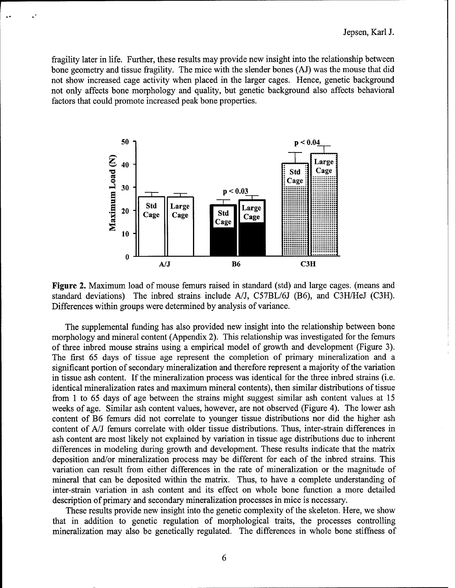fragility later in life. Further, these results may provide new insight into the relationship between bone geometry and tissue fragility. The mice with the slender bones (AJ) was the mouse that did not show increased cage activity when placed in the larger cages. Hence, genetic background not only affects bone morphology and quality, but genetic background also affects behavioral factors that could promote increased peak bone properties.



**Figure 2.** Maximum load of mouse femurs raised in standard (std) and large cages, (means and standard deviations) The inbred strains include A/J, C57BL/6J (B6), and C3H/HeJ (C3H). Differences within groups were determined by analysis of variance.

The supplemental funding has also provided new insight into the relationship between bone morphology and mineral content (Appendix 2). This relationship was investigated for the femurs of three inbred mouse strains using a empirical model of growth and development (Figure 3). The first 65 days of tissue age represent the completion of primary mineralization and a significant portion of secondary mineralization and therefore represent a majority of the variation in tissue ash content. If the mineralization process was identical for the three inbred strains (i.e. identical mineralization rates and maximum mineral contents), then similar distributions of tissue from <sup>1</sup> to 65 days of age between the strains might suggest similar ash content values at 15 weeks of age. Similar ash content values, however, are not observed (Figure 4). The lower ash content of B6 femurs did not correlate to younger tissue distributions nor did the higher ash content of A/J femurs correlate with older tissue distributions. Thus, inter-strain differences in ash content are most likely not explained by variation in tissue age distributions due to inherent differences in modeling during growth and development. These results indicate that the matrix deposition and/or mineralization process may be different for each of the inbred strains. This variation can result from either differences in the rate of mineralization or the magnitude of mineral that can be deposited within the matrix. Thus, to have a complete understanding of inter-strain variation in ash content and its effect on whole bone function a more detailed description of primary and secondary mineralization processes in mice is necessary.

These results provide new insight into the genetic complexity of the skeleton. Here, we show that in addition to genetic regulation of morphological traits, the processes controlling mineralization may also be genetically regulated. The differences in whole bone stiffness of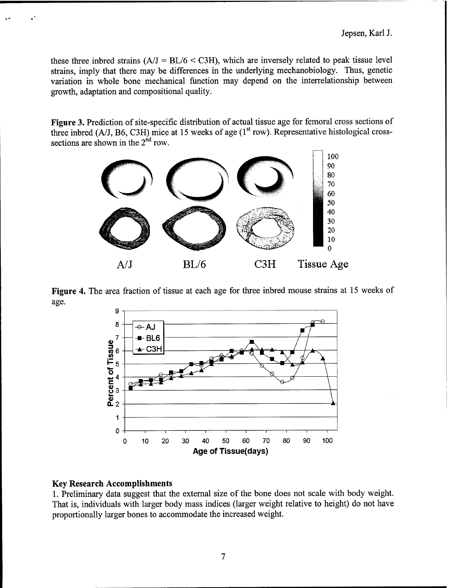these three inbred strains  $(A/J = BL/6 < C3H)$ , which are inversely related to peak tissue level strains, imply that there may be differences in the underlying mechanobiology. Thus, genetic variation in whole bone mechanical function may depend on the interrelationship between growth, adaptation and compositional quality.

Figure 3. Prediction of site-specific distribution of actual tissue age for femoral cross sections of three inbred  $(A/J, B6, C3H)$  mice at 15 weeks of age  $(1<sup>st</sup> row)$ . Representative histological crosssections are shown in the  $2<sup>nd</sup>$  row.



Figure 4. The area fraction of tissue at each age for three inbred mouse strains at 15 weeks of age.



### Key Research Accomplishments

1. Preliminary data suggest that the external size of the bone does not scale with body weight. That is, individuals with larger body mass indices (larger weight relative to height) do not have proportionally larger bones to accommodate the increased weight.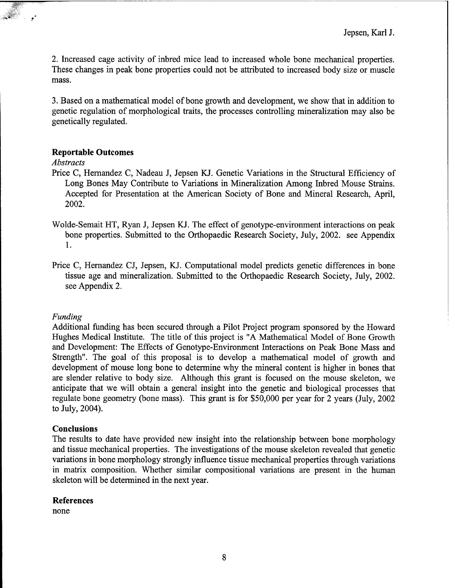2. Increased cage activity of inbred mice lead to increased whole bone mechanical properties. These changes in peak bone properties could not be attributed to increased body size or muscle mass.

3. Based on a mathematical model of bone growth and development, we show that in addition to genetic regulation of morphological traits, the processes controlling mineralization may also be genetically regulated.

### **Reportable Outcomes**

## *Abstracts*

- Price C, Hernandez C, Nadeau J, Jepsen KJ. Genetic Variations in the Structural Efficiency of Long Bones May Contribute to Variations in Mineralization Among Inbred Mouse Strains. Accepted for Presentation at the American Society of Bone and Mineral Research, April, 2002.
- Wolde-Semait HT, Ryan J, Jepsen KJ. The effect of genotype-environment interactions on peak bone properties. Submitted to the Orthopaedic Research Society, July, 2002. see Appendix 1.
- Price C, Hernandez CJ, Jepsen, KJ. Computational model predicts genetic differences in bone tissue age and mineralization. Submitted to the Orthopaedic Research Society, July, 2002. see Appendix 2.

#### *Funding*

Additional funding has been secured through a Pilot Project program sponsored by the Howard Hughes Medical Institute. The title of this project is "A Mathematical Model of Bone Growth and Development: The Effects of Genotype-Environment Interactions on Peak Bone Mass and Strength". The goal of this proposal is to develop a mathematical model of growth and development of mouse long bone to determine why the mineral content is higher in bones that are slender relative to body size. Although this grant is focused on the mouse skeleton, we anticipate that we will obtain a general insight into the genetic and biological processes that regulate bone geometry (bone mass). This grant is for \$50,000 per year for 2 years (July, 2002 to July, 2004).

### **Conclusions**

The results to date have provided new insight into the relationship between bone morphology and tissue mechanical properties. The investigations of the mouse skeleton revealed that genetic variations in bone morphology strongly influence tissue mechanical properties through variations in matrix composition. Whether similar compositional variations are present in the human skeleton will be determined in the next year.

#### **References**

none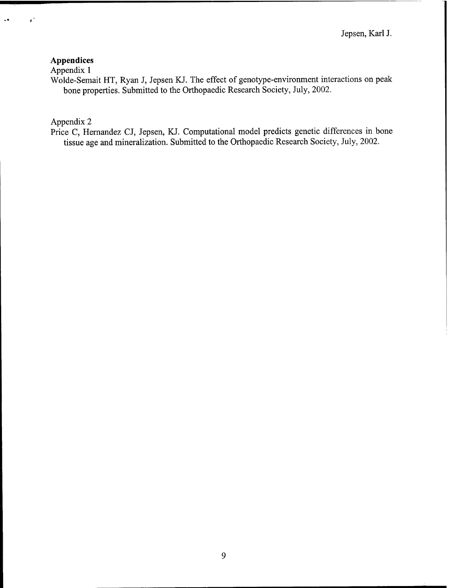## **Appendices**

 $\epsilon$ 

Appendix <sup>1</sup>

Wolde-Semait HT, Ryan J, Jepsen KJ. The effect of genotype-environment interactions on peak bone properties. Submitted to the Orthopaedic Research Society, July, 2002.

## Appendix 2

Price C, Hernandez CJ, Jepsen, KJ. Computational model predicts genetic differences in bone tissue age and mineralization. Submitted to the Orthopaedic Research Society, July, 2002.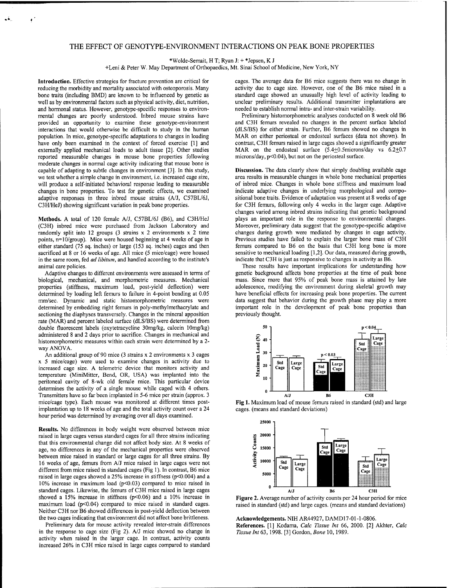#### THE EFFECT OF GENOTYPE-ENVIRONMENT INTERACTIONS ON PEAK BONE PROPERTIES

\*Wolde-Semait, H T; Ryan J: + \*Jepsen, K J

+Leni & Peter W. May Department of Orthopaedics, Mt. Sinai School of Medicine, New York, NY

**Introduction.** Effective strategies for fracture prevention are critical for reducing the morbidity and mortality associated with osteoporosis. Many bone traits (including BMD) are known to be influenced by genetic as well as by environmental factors such as physical activity, diet, nutrition, and hormonal status. However, genotype-specific responses to environmental changes are poorly understood. Inbred mouse strains have provided an opportunity to examine these genotype-environment interactions that would otherwise be difficult to study in the human population. In mice, genotype-specific adaptations to changes in loading have only been examined in the context of forced exercise [1] and externally applied mechanical loads to adult tissue [2]. Other studies reported measurable changes in mouse bone properties following moderate changes in normal cage activity indicating that mouse bone is capable of adapting to subtle changes in environment [3]. In this study, we test whether a simple change in environment, i.e. increased cage size, will produce a self-initiated behavioral response leading to measurable changes in bone properties. To test for genetic effects, we examined adaptive responses in three inbred mouse strains (A/J, C57BL/6J, C3H/HeJ) showing significant variation in peak bone properties.

**Methods.** A total of 120 female A/J, C57BL/6J (B6), and C3H/HeJ (C3H) inbred mice were purchased from Jackson Laboratory and randomly split into 12 groups (3 strains x 2 environments x 2 time points, n=10/group). Mice were housed beginning at 4 weeks of age in either standard (75 sq. inches) or large (153 sq. inches) cages and then sacrificed at 8 or 16 weeks of age. All mice (5 mice/cage) were housed in the same room, fed *ad libitum,* and handled according to the institute's animal care policies.

Adaptive changes to different environments were assessed in terms of biological, mechanical, and morphometric measures. Mechanical properties (stiffness, maximum load, post-yield deflection) were determined by loading left femurs to failure in 4-point bending at 0.05 mm/sec. Dynamic and static histomorphometric measures were determined by embedding right femurs in poly-methylmethacrylate and sectioning the diaphyses transversely. Changes in the mineral apposition rate (MAR) and percent labeled surface (dLS/BS) were determined from double fluorescent labels (oxytetracycline 30mg/kg, calcein 10mg/kg) administered 8 and 2 days prior to sacrifice. Changes in mechanical and histomorphometric measures within each strain were determined by a 2 way ANOVA.

An additional group of 90 mice (3 strains x 2 environments x 3 cages x 5 mice/cage) were used to examine changes in activity due to increased cage size. A telemetric device that monitors activity and temperature (MiniMitter, Bend, OR, USA) was implanted into the peritoneal cavity of 8-wk old female mice. This particular device determines the activity of a single mouse while caged with 4 others. Transmitters have so far been implanted in 5-6 mice per strain (approx. 3 mice/cage type). Each mouse was monitored at different times postimplantation up to 18 weeks of age and the total activity count over a 24 hour period was determined by averaging over all days examined.

**Results.** No differences in body weight were observed between mice raised in large cages versus standard cages for all three strains indicating that this environmental change did not affect body size. At <sup>8</sup> weeks of age, no differences in any of the mechanical properties were observed between mice raised in standard or large cages for all three strains. By 16 weeks of age, femurs from A/J mice raised in large cages were not different from mice raised in standard cages (Fig 1). In contrast, B6 mice raised in large cages showed a 25% increase in stiffness (p<0.004) and a 10% increase in maximum load (p<0.03) compared to mice raised in standard cages. Likewise, the femurs of C3H mice raised in large cages showed a 15% increase in stiffness (p<0.06) and a 10% increase in maximum load (p<0.04) compared to mice raised in standard cages. Neither C3H nor B6 showed differences in post-yield deflection between the two cages indicating that environment did not affect bone brittleness.

Preliminary data for mouse activity revealed inter-strain differences in the response to cage size (Fig 2). A/J mice showed no change in activity when raised in the larger cage. In contrast, activity counts increased 26% in C3H mice raised in large cages compared to standard cages. The average data for B6 mice suggests there was no change in activity due to cage size. However, one of the B6 mice raised in a standard cage showed an unusually high level of activity leading to unclear preliminary results. Additional transmitter implantations are needed to establish normal intra- and inter-strain variability.

Preliminary histomorphometric analyses conducted on 8 week old B6 and C3H femurs revealed no changes in the percent surface labeled (dLS/BS) for either strain. Further, B6 femurs showed no changes in MAR on either periosteal or endosteal surfaces (data not shown). In contrast, C3H femurs raised in large cages showed a significantly greater MAR on the endosteal surface (5.4+0.5microns/day vs 6.2+0.7 microns/day,  $p<0.04$ ), but not on the periosteal surface.

**Discussion.** The data clearly show that simply doubling available cage area results in measurable changes in whole bone mechanical properties of inbred mice. Changes in whole bone stiffness and maximum load indicate adaptive changes in underlying morphological and compositional bone traits. Evidence of adaptation was present at 8 weeks of age for C3H femurs, following only 4 weeks in the larger cage. Adaptive changes varied among inbred strains indicating that genetic background plays an important role in the response to environmental changes. Moreover, preliminary data suggest that the genotype-specific adaptive changes during growth were mediated by changes in cage activity. Previous studies have failed to explain the larger bone mass of C3H femurs compared to B6 on the basis that C3H long bone is more sensitive to mechanical loading [1,2]. Our data, measured during growth, indicate that C3H is just as responsive to changes in activity as B6.

These results have important implications for understanding how genetic background affects bone properties at the time of peak bone mass. Since more that 95% of peak bone mass is attained by late adolescence, modifying the environment during skeletal growth may have beneficial effects for increasing peak bone properties. The current data suggest that behavior during the growth phase may play a more important role in the development of peak bone properties than previously thought.



**Fig** 1. Maximum load of mouse femurs raised in standard (std) and large cages, (means and standard deviations)



**Figure 2.** Average number of activity counts per 24 hour period for mice raised in standard (std) and large cages, (means and standard deviations)

**Acknowledgements.** NIH AR44927, DAMD17-01-1-0806. **References.** [1] Kodama, *Calc Tissue Int* 66, 2000. [2] Akhter, *Calc Tissue Int* 63,1998. [3] Gordon, *Bone* 10,1989.